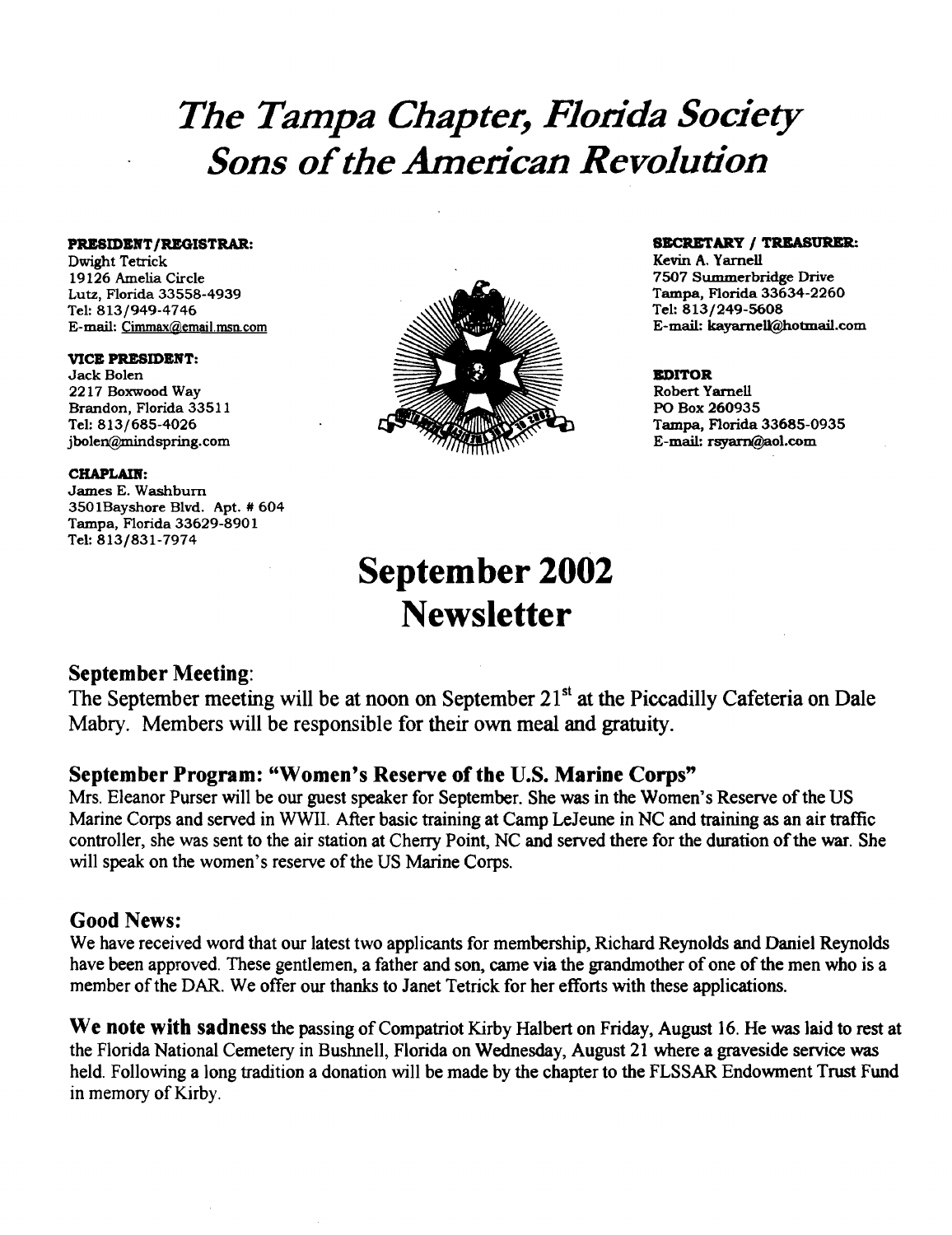# *The Tampa Chapter, Florida Society Sons ofthe American Revolution*

Dwight Tetrick<br>19126 Amelia Circle E-mail: Cimmax@email.msn.com

## VICE PRESIDENT:<br>Jack Bolen

Brandon, Florida 33511<br>Tel: 813/685-4026

### CHAPLAIN:

James E. Washburn 3501Bayshore Blvd. Apt. # 604 Tampa, Florida 33629-8901 Tel: 813/831-7974



## **PRESIDENT/REGISTRAR:** SECRETARY / TREASURER:<br>
Dwight Tetrick<br>
Nurght Tetrick

Tel: 813/249-5608<br>E-mail: kavarnelk@hotmail.com

jbolen@mindspring.com E-mail: rsyam@aol.com

# September 2002 **Newsletter**

## September Meeting:

The September meeting will be at noon on September 21<sup>st</sup> at the Piccadilly Cafeteria on Dale Mabry. Members will be responsible for their own meal and gratuity.

## September Program: "Women's Reserve of the U.S. Marine Corps"

Mrs. Eleanor Purser will be our guest speaker for September. She was in the Women's Reserve of the US Marine Corps and served in WWII. After basic training at Camp Lejeune in NC and training as an air traffic controller, she was sent to the air station at Cherry Point, NC and served there for the duration of the war. She will speak on the women's reserve of the US Marine Corps.

## Good News:

We have received word that our latest two applicants for membership, Richard Reynolds and Daniel Reynolds have been approved. These gentlemen, a father and son, came via the grandmother of one of the men who is a member of the DAR. We offer our thanks to Janet Tetrick for her efforts with these applications.

We note with sadness the passing of Compatriot Kirby Halbert on Friday, August 16. He was laid to rest at the Florida National Cemetery in Bushnell, Florida on Wednesday, August 21 where a graveside service was held. Following a long tradition a donation will be made by the chapter to the FLSSAR Endowment Trust Fund in memory of Kirby.